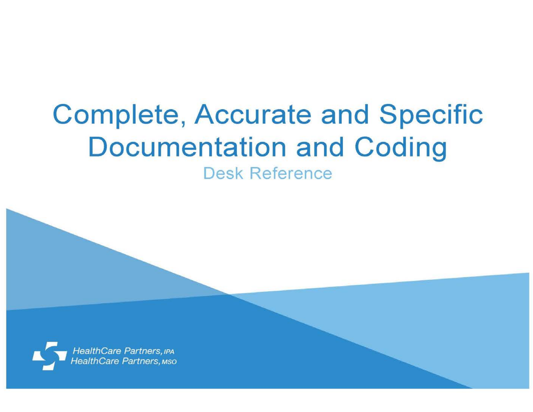## **Complete, Accurate and Specific Documentation and Coding**

**Desk Reference** 

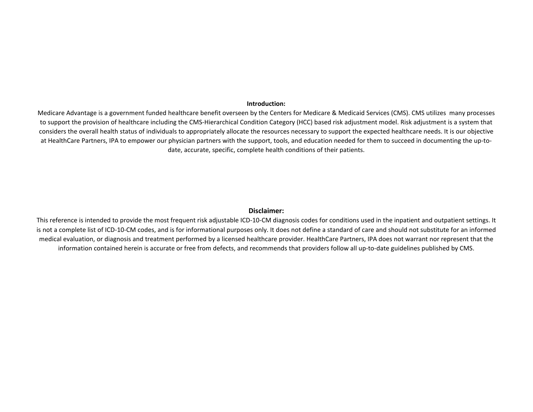## **Introduction:**

Medicare Advantage is a government funded healthcare benefit overseen by the Centers for Medicare & Medicaid Services (CMS). CMS utilizes many processes to support the provision of healthcare including the CMS-Hierarchical Condition Category (HCC) based risk adjustment model. Risk adjustment is a system that considers the overall health status of individuals to appropriately allocate the resources necessary to support the expected healthcare needs. It is our objective at HealthCare Partners, IPA to empower our physician partners with the support, tools, and education needed for them to succeed in documenting the up-todate, accurate, specific, complete health conditions of their patients.

## **Disclaimer:**

This reference is intended to provide the most frequent risk adjustable ICD-10-CM diagnosis codes for conditions used in the inpatient and outpatient settings. It is not a complete list of ICD-10-CM codes, and is for informational purposes only. It does not define a standard of care and should not substitute for an informed medical evaluation, or diagnosis and treatment performed by a licensed healthcare provider. HealthCare Partners, IPA does not warrant nor represent that the information contained herein is accurate or free from defects, and recommends that providers follow all up-to-date guidelines published by CMS.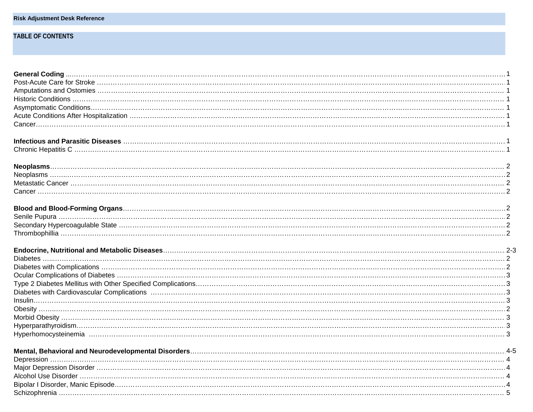|  |  |  | Risk Adjustment Desk Reference |
|--|--|--|--------------------------------|
|--|--|--|--------------------------------|

## **TABLE OF CONTENTS**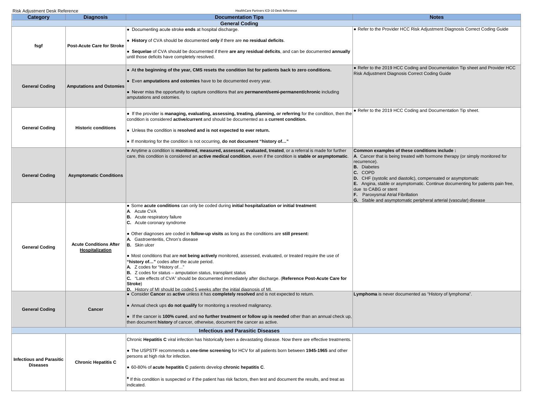| <b>Category</b>                                    | <b>Diagnosis</b>                  | <b>Documentation Tips</b>                                                                                                                                                                                     | <b>Notes</b>                                                                                                                                    |
|----------------------------------------------------|-----------------------------------|---------------------------------------------------------------------------------------------------------------------------------------------------------------------------------------------------------------|-------------------------------------------------------------------------------------------------------------------------------------------------|
|                                                    |                                   | <b>General Coding</b>                                                                                                                                                                                         |                                                                                                                                                 |
|                                                    |                                   | • Documenting acute stroke ends at hospital discharge.                                                                                                                                                        | . Refer to the Provider HCC Risk Adjustment Diagnosis Correct Coding Guide                                                                      |
|                                                    | <b>Post-Acute Care for Stroke</b> | • History of CVA should be documented only if there are no residual deficits.                                                                                                                                 |                                                                                                                                                 |
| fsgf                                               |                                   | • Sequelae of CVA should be documented if there are any residual deficits, and can be documented annually<br>until those deficits have completely resolved.                                                   |                                                                                                                                                 |
|                                                    |                                   | • At the beginning of the year, CMS resets the condition list for patients back to zero conditions.                                                                                                           | . Refer to the 2019 HCC Coding and Documentation Tip sheet and Provider HCC                                                                     |
|                                                    |                                   |                                                                                                                                                                                                               | Risk Adjustment Diagnosis Correct Coding Guide                                                                                                  |
| <b>General Coding</b>                              | <b>Amputations and Ostomies</b>   | • Even amputations and ostomies have to be documented every year.                                                                                                                                             |                                                                                                                                                 |
|                                                    |                                   | • Never miss the opportunity to capture conditions that are permanent/semi-permanent/chronic including<br>amputations and ostomies.                                                                           |                                                                                                                                                 |
|                                                    |                                   |                                                                                                                                                                                                               | • Refer to the 2019 HCC Coding and Documentation Tip sheet.                                                                                     |
|                                                    |                                   | • If the provider is managing, evaluating, assessing, treating, planning, or referring for the condition, then the<br>condition is considered active/current and should be documented as a current condition. |                                                                                                                                                 |
| <b>General Coding</b>                              | <b>Historic conditions</b>        |                                                                                                                                                                                                               |                                                                                                                                                 |
|                                                    |                                   | • Unless the condition is resolved and is not expected to ever return.                                                                                                                                        |                                                                                                                                                 |
|                                                    |                                   | $\bullet$ If monitoring for the condition is not occurring, do not document "history of"                                                                                                                      |                                                                                                                                                 |
|                                                    |                                   | • Anytime a condition is monitored, measured, assessed, evaluated, treated, or a referral is made for further                                                                                                 | Common examples of these conditions include :                                                                                                   |
|                                                    |                                   | care, this condition is considered an active medical condition, even if the condition is stable or asymptomatic.                                                                                              | $\mathsf{A}$ . Cancer that is being treated with hormone therapy (or simply monitored for                                                       |
|                                                    |                                   |                                                                                                                                                                                                               | recurrence).<br><b>B.</b> Diabetes                                                                                                              |
| <b>General Coding</b>                              | <b>Asymptomatic Conditions</b>    |                                                                                                                                                                                                               | C. COPD                                                                                                                                         |
|                                                    |                                   |                                                                                                                                                                                                               | D. CHF (systolic and diastolic), compensated or asymptomatic<br>E. Angina, stable or asymptomatic. Continue documenting for patients pain free, |
|                                                    |                                   |                                                                                                                                                                                                               | due to CABG or stent                                                                                                                            |
|                                                    |                                   |                                                                                                                                                                                                               | <b>F.</b> Paroxysmal Atrial Fibrillation                                                                                                        |
|                                                    |                                   | • Some acute conditions can only be coded during initial hospitalization or initial treatment:                                                                                                                | G. Stable and asymptomatic peripheral arterial (vascular) disease                                                                               |
|                                                    |                                   | A. Acute CVA                                                                                                                                                                                                  |                                                                                                                                                 |
|                                                    |                                   | <b>B.</b> Acute respiratory failure<br>C. Acute coronary syndrome                                                                                                                                             |                                                                                                                                                 |
|                                                    |                                   |                                                                                                                                                                                                               |                                                                                                                                                 |
|                                                    |                                   | • Other diagnoses are coded in follow-up visits as long as the conditions are still present:                                                                                                                  |                                                                                                                                                 |
|                                                    | <b>Acute Conditions After</b>     | A. Gastroenteritis, Chron's disease<br><b>B.</b> Skin ulcer                                                                                                                                                   |                                                                                                                                                 |
| <b>General Coding</b>                              | Hospitalization                   |                                                                                                                                                                                                               |                                                                                                                                                 |
|                                                    |                                   | • Most conditions that are not being actively monitored, assessed, evaluated, or treated require the use of<br>"history of" codes after the acute period.                                                     |                                                                                                                                                 |
|                                                    |                                   | A. Z codes for "History of"                                                                                                                                                                                   |                                                                                                                                                 |
|                                                    |                                   | $ B. \, Z \,$ codes for status – amputation status, transplant status<br>C. "Late effects of CVA" should be documented immediately after discharge. (Reference Post-Acute Care for                            |                                                                                                                                                 |
|                                                    |                                   | Stroke)                                                                                                                                                                                                       |                                                                                                                                                 |
|                                                    |                                   | D. History of MI should be coded 5 weeks after the initial diagnosis of MI<br>. Consider Cancer as active unless it has completely resolved and is not expected to return.                                    | Lymphoma is never documented as "History of lymphoma".                                                                                          |
|                                                    |                                   |                                                                                                                                                                                                               |                                                                                                                                                 |
| <b>General Coding</b>                              | Cancer                            | • Annual check ups <b>do not qualify</b> for monitoring a resolved malignancy.                                                                                                                                |                                                                                                                                                 |
|                                                    |                                   | . If the cancer is 100% cured, and no further treatment or follow up is needed other than an annual check up,                                                                                                 |                                                                                                                                                 |
|                                                    |                                   | then document history of cancer, otherwise, document the cancer as active.                                                                                                                                    |                                                                                                                                                 |
|                                                    |                                   | <b>Infectious and Parasitic Diseases</b>                                                                                                                                                                      |                                                                                                                                                 |
|                                                    |                                   | Chronic Hepatitis C viral infection has historically been a devastating disease. Now there are effective treatments.                                                                                          |                                                                                                                                                 |
|                                                    | <b>Chronic Hepatitis C</b>        | • The USPSTF recommends a one-time screening for HCV for all patients born between 1945-1965 and other<br>persons at high risk for infection.                                                                 |                                                                                                                                                 |
| <b>Infectious and Parasitic</b><br><b>Diseases</b> |                                   | . 60-80% of acute hepatitis C patients develop chronic hepatitis C.                                                                                                                                           |                                                                                                                                                 |
|                                                    |                                   | If this condition is suspected or if the patient has risk factors, then test and document the results, and treat as                                                                                           |                                                                                                                                                 |
|                                                    |                                   | indicated.                                                                                                                                                                                                    |                                                                                                                                                 |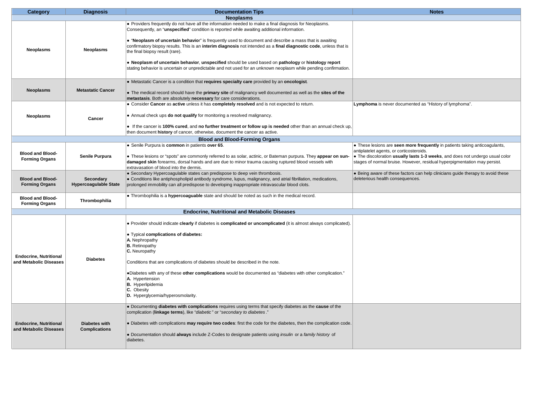| <b>Neoplasms</b><br>• Providers frequently do not have all the information needed to make a final diagnosis for Neoplasms.<br>Consequently, an "unspecified" condition is reported while awaiting additional information.<br>• "Neoplasm of uncertain behavior" is frequently used to document and describe a mass that is awaiting<br>confirmatory biopsy results. This is an interim diagnosis not intended as a final diagnostic code, unless that is<br><b>Neoplasms</b><br><b>Neoplasms</b><br>the final biopsy result (rare).<br>. Neoplasm of uncertain behavior, unspecified should be used based on pathology or histology report<br>stating behavior is uncertain or unpredictable and not used for an unknown neoplasm while pending confirmation.<br>• Metastatic Cancer is a condition that requires specialty care provided by an oncologist.<br><b>Metastatic Cancer</b><br><b>Neoplasms</b><br>• The medical record should have the primary site of malignancy well documented as well as the sites of the<br>metastasis. Both are absolutely necessary for care considerations.<br>• Consider Cancer as active unless it has completely resolved and is not expected to return.<br>Lymphoma is never documented as "History of lymphoma".<br>• Annual check ups <b>do not qualify</b> for monitoring a resolved malignancy.<br><b>Neoplasms</b><br>Cancer<br>• If the cancer is 100% cured, and no further treatment or follow up is needed other than an annual check up,<br>then document history of cancer, otherwise, document the cancer as active.<br><b>Blood and Blood-Forming Organs</b><br>• Senile Purpura is common in patients over 65.<br>• These lesions are seen more frequently in patients taking anticoagulants,<br>antiplatelet agents, or corticosteroids.<br><b>Blood and Blood-</b><br><b>Senile Purpura</b><br>• The discoloration usually lasts 1-3 weeks, and does not undergo usual color<br>• These lesions or "spots" are commonly referred to as solar, actinic, or Bateman purpura. They appear on sun-<br><b>Forming Organs</b><br>stages of normal bruise. However, residual hyperpigmentation may persist.<br>damaged skin forearms, dorsal hands and are due to minor trauma causing ruptured blood vessels with<br>extravasation of blood into the dermis.<br>• Secondary Hypercoagulable states can predispose to deep vein thrombosis.<br>• Being aware of these factors can help clinicians quide therapy to avoid these<br><b>Blood and Blood-</b><br>Secondary<br>deleterious health consequences.<br>• Conditions like antiphospholipid antibody syndrome, lupus, malignancy, and atrial fibrillation, medications,<br><b>Hypercoagulable State</b><br><b>Forming Organs</b><br>prolonged immobility can all predispose to developing inappropriate intravascular blood clots.<br>. Thrombophilia is a hypercoaguable state and should be noted as such in the medical record.<br><b>Blood and Blood-</b> |  |
|----------------------------------------------------------------------------------------------------------------------------------------------------------------------------------------------------------------------------------------------------------------------------------------------------------------------------------------------------------------------------------------------------------------------------------------------------------------------------------------------------------------------------------------------------------------------------------------------------------------------------------------------------------------------------------------------------------------------------------------------------------------------------------------------------------------------------------------------------------------------------------------------------------------------------------------------------------------------------------------------------------------------------------------------------------------------------------------------------------------------------------------------------------------------------------------------------------------------------------------------------------------------------------------------------------------------------------------------------------------------------------------------------------------------------------------------------------------------------------------------------------------------------------------------------------------------------------------------------------------------------------------------------------------------------------------------------------------------------------------------------------------------------------------------------------------------------------------------------------------------------------------------------------------------------------------------------------------------------------------------------------------------------------------------------------------------------------------------------------------------------------------------------------------------------------------------------------------------------------------------------------------------------------------------------------------------------------------------------------------------------------------------------------------------------------------------------------------------------------------------------------------------------------------------------------------------------------------------------------------------------------------------------------------------------------------------------------------------------------------------------------------------------------------------------------------------------------------------------------------------------------------------------------------------------------------------------------------------|--|
|                                                                                                                                                                                                                                                                                                                                                                                                                                                                                                                                                                                                                                                                                                                                                                                                                                                                                                                                                                                                                                                                                                                                                                                                                                                                                                                                                                                                                                                                                                                                                                                                                                                                                                                                                                                                                                                                                                                                                                                                                                                                                                                                                                                                                                                                                                                                                                                                                                                                                                                                                                                                                                                                                                                                                                                                                                                                                                                                                                      |  |
|                                                                                                                                                                                                                                                                                                                                                                                                                                                                                                                                                                                                                                                                                                                                                                                                                                                                                                                                                                                                                                                                                                                                                                                                                                                                                                                                                                                                                                                                                                                                                                                                                                                                                                                                                                                                                                                                                                                                                                                                                                                                                                                                                                                                                                                                                                                                                                                                                                                                                                                                                                                                                                                                                                                                                                                                                                                                                                                                                                      |  |
|                                                                                                                                                                                                                                                                                                                                                                                                                                                                                                                                                                                                                                                                                                                                                                                                                                                                                                                                                                                                                                                                                                                                                                                                                                                                                                                                                                                                                                                                                                                                                                                                                                                                                                                                                                                                                                                                                                                                                                                                                                                                                                                                                                                                                                                                                                                                                                                                                                                                                                                                                                                                                                                                                                                                                                                                                                                                                                                                                                      |  |
|                                                                                                                                                                                                                                                                                                                                                                                                                                                                                                                                                                                                                                                                                                                                                                                                                                                                                                                                                                                                                                                                                                                                                                                                                                                                                                                                                                                                                                                                                                                                                                                                                                                                                                                                                                                                                                                                                                                                                                                                                                                                                                                                                                                                                                                                                                                                                                                                                                                                                                                                                                                                                                                                                                                                                                                                                                                                                                                                                                      |  |
|                                                                                                                                                                                                                                                                                                                                                                                                                                                                                                                                                                                                                                                                                                                                                                                                                                                                                                                                                                                                                                                                                                                                                                                                                                                                                                                                                                                                                                                                                                                                                                                                                                                                                                                                                                                                                                                                                                                                                                                                                                                                                                                                                                                                                                                                                                                                                                                                                                                                                                                                                                                                                                                                                                                                                                                                                                                                                                                                                                      |  |
|                                                                                                                                                                                                                                                                                                                                                                                                                                                                                                                                                                                                                                                                                                                                                                                                                                                                                                                                                                                                                                                                                                                                                                                                                                                                                                                                                                                                                                                                                                                                                                                                                                                                                                                                                                                                                                                                                                                                                                                                                                                                                                                                                                                                                                                                                                                                                                                                                                                                                                                                                                                                                                                                                                                                                                                                                                                                                                                                                                      |  |
|                                                                                                                                                                                                                                                                                                                                                                                                                                                                                                                                                                                                                                                                                                                                                                                                                                                                                                                                                                                                                                                                                                                                                                                                                                                                                                                                                                                                                                                                                                                                                                                                                                                                                                                                                                                                                                                                                                                                                                                                                                                                                                                                                                                                                                                                                                                                                                                                                                                                                                                                                                                                                                                                                                                                                                                                                                                                                                                                                                      |  |
|                                                                                                                                                                                                                                                                                                                                                                                                                                                                                                                                                                                                                                                                                                                                                                                                                                                                                                                                                                                                                                                                                                                                                                                                                                                                                                                                                                                                                                                                                                                                                                                                                                                                                                                                                                                                                                                                                                                                                                                                                                                                                                                                                                                                                                                                                                                                                                                                                                                                                                                                                                                                                                                                                                                                                                                                                                                                                                                                                                      |  |
|                                                                                                                                                                                                                                                                                                                                                                                                                                                                                                                                                                                                                                                                                                                                                                                                                                                                                                                                                                                                                                                                                                                                                                                                                                                                                                                                                                                                                                                                                                                                                                                                                                                                                                                                                                                                                                                                                                                                                                                                                                                                                                                                                                                                                                                                                                                                                                                                                                                                                                                                                                                                                                                                                                                                                                                                                                                                                                                                                                      |  |
| Thrombophilia<br><b>Forming Organs</b>                                                                                                                                                                                                                                                                                                                                                                                                                                                                                                                                                                                                                                                                                                                                                                                                                                                                                                                                                                                                                                                                                                                                                                                                                                                                                                                                                                                                                                                                                                                                                                                                                                                                                                                                                                                                                                                                                                                                                                                                                                                                                                                                                                                                                                                                                                                                                                                                                                                                                                                                                                                                                                                                                                                                                                                                                                                                                                                               |  |
| <b>Endocrine. Nutritional and Metabolic Diseases</b>                                                                                                                                                                                                                                                                                                                                                                                                                                                                                                                                                                                                                                                                                                                                                                                                                                                                                                                                                                                                                                                                                                                                                                                                                                                                                                                                                                                                                                                                                                                                                                                                                                                                                                                                                                                                                                                                                                                                                                                                                                                                                                                                                                                                                                                                                                                                                                                                                                                                                                                                                                                                                                                                                                                                                                                                                                                                                                                 |  |
| • Provider should indicate clearly if diabetes is complicated or uncomplicated (it is almost always complicated).<br>• Typical complications of diabetes:<br>A. Nephropathy<br><b>B.</b> Retinopathy<br>C. Neuropathy<br><b>Endocrine, Nutritional</b><br><b>Diabetes</b><br>Conditions that are complications of diabetes should be described in the note.<br>and Metabolic Diseases<br>•Diabetes with any of these other complications would be documented as "diabetes with other complication."                                                                                                                                                                                                                                                                                                                                                                                                                                                                                                                                                                                                                                                                                                                                                                                                                                                                                                                                                                                                                                                                                                                                                                                                                                                                                                                                                                                                                                                                                                                                                                                                                                                                                                                                                                                                                                                                                                                                                                                                                                                                                                                                                                                                                                                                                                                                                                                                                                                                  |  |
| A. Hypertension<br><b>B.</b> Hyperlipidemia<br>C. Obesity<br>D. Hyperglycemia/hyperosmolarity.<br>. Documenting diabetes with complications requires using terms that specify diabetes as the cause of the<br>complication (linkage terms), like "diabetic" or "secondary to diabetes."<br>. Diabetes with complications may require two codes: first the code for the diabetes, then the complication code.<br><b>Endocrine, Nutritional</b><br>Diabetes with<br><b>Complications</b><br>and Metabolic Diseases<br>• Documentation should always include Z-Codes to designate patients using <i>insulin</i> or a family history of<br>diabetes.                                                                                                                                                                                                                                                                                                                                                                                                                                                                                                                                                                                                                                                                                                                                                                                                                                                                                                                                                                                                                                                                                                                                                                                                                                                                                                                                                                                                                                                                                                                                                                                                                                                                                                                                                                                                                                                                                                                                                                                                                                                                                                                                                                                                                                                                                                                     |  |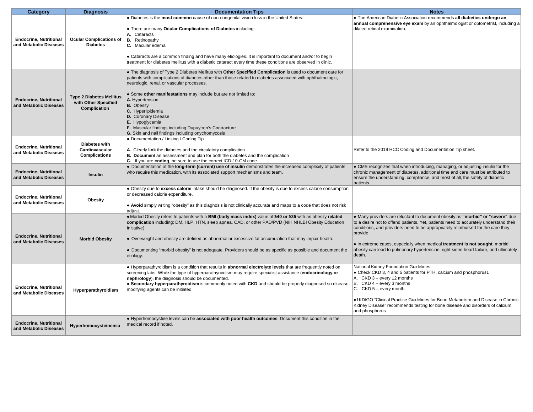| Category                                                | <b>Diagnosis</b>                       | <b>Documentation Tips</b>                                                                                                                                                                                                  | <b>Notes</b>                                                                                                                                                             |
|---------------------------------------------------------|----------------------------------------|----------------------------------------------------------------------------------------------------------------------------------------------------------------------------------------------------------------------------|--------------------------------------------------------------------------------------------------------------------------------------------------------------------------|
|                                                         |                                        | • Diabetes is the most common cause of non-congenital vision loss in the United States.                                                                                                                                    | . The American Diabetic Association recommends all diabetics undergo an                                                                                                  |
| <b>Endocrine, Nutritional</b>                           |                                        | • There are many Ocular Complications of Diabetes including:                                                                                                                                                               | annual comprehensive eye exam by an ophthalmologist or optometrist, including a<br>dilated retinal examination.                                                          |
|                                                         |                                        | A. Cataracts                                                                                                                                                                                                               |                                                                                                                                                                          |
|                                                         | <b>Ocular Complications of</b>         | <b>B.</b> Retinopathy                                                                                                                                                                                                      |                                                                                                                                                                          |
| and Metabolic Diseases                                  | <b>Diabetes</b>                        | C. Macular edema                                                                                                                                                                                                           |                                                                                                                                                                          |
|                                                         |                                        | • Cataracts are a common finding and have many etiologies. It is important to document and/or to begin                                                                                                                     |                                                                                                                                                                          |
|                                                         |                                        | treatment for diabetes mellitus with a diabetic cataract every time these conditions are observed in clinic.                                                                                                               |                                                                                                                                                                          |
|                                                         |                                        |                                                                                                                                                                                                                            |                                                                                                                                                                          |
|                                                         |                                        | • The diagnosis of Type 2 Diabetes Mellitus with Other Specified Complication is used to document care for<br>patients with complications of diabetes other than those related to diabetes associated with ophthalmologic, |                                                                                                                                                                          |
|                                                         |                                        | neurologic, renal, or vascular processes.                                                                                                                                                                                  |                                                                                                                                                                          |
|                                                         |                                        |                                                                                                                                                                                                                            |                                                                                                                                                                          |
| <b>Endocrine, Nutritional</b>                           | <b>Type 2 Diabetes Mellitus</b>        | . Some other manifestations may include but are not limited to:<br>A. Hypertension                                                                                                                                         |                                                                                                                                                                          |
| and Metabolic Diseases                                  | with Other Specified                   | <b>B.</b> Obesity                                                                                                                                                                                                          |                                                                                                                                                                          |
|                                                         | Complication                           | C. Hyperlipidemia                                                                                                                                                                                                          |                                                                                                                                                                          |
|                                                         |                                        | D. Coronary Disease                                                                                                                                                                                                        |                                                                                                                                                                          |
|                                                         |                                        | E. Hypoglycemia<br><b>F.</b> Muscular findings including Dupuytren's Contracture                                                                                                                                           |                                                                                                                                                                          |
|                                                         |                                        | G. Skin and nail findings including onychomycosis                                                                                                                                                                          |                                                                                                                                                                          |
|                                                         |                                        | • Documentation / Linking / Coding Tip                                                                                                                                                                                     |                                                                                                                                                                          |
| <b>Endocrine, Nutritional</b>                           | <b>Diabetes with</b>                   |                                                                                                                                                                                                                            |                                                                                                                                                                          |
| and Metabolic Diseases                                  | Cardiovascular<br><b>Complications</b> | A. Clearly link the diabetes and the circulatory complication.<br>B. Document an assessment and plan for both the diabetes and the complication                                                                            | Refer to the 2019 HCC Coding and Documentation Tip sheet.                                                                                                                |
|                                                         |                                        | C. If you are coding, be sure to use the correct ICD-10-CM code                                                                                                                                                            |                                                                                                                                                                          |
|                                                         |                                        | . Documentation of the long-term (current) use of insulin demonstrates the increased complexity of patients                                                                                                                | • CMS recognizes that when introducing, managing, or adjusting insulin for the                                                                                           |
| <b>Endocrine, Nutritional</b><br>and Metabolic Diseases | <b>Insulin</b>                         | who require this medication, with its associated support mechanisms and team.                                                                                                                                              | chronic management of diabetes, additional time and care must be attributed to<br>ensure the understanding, compliance, and most of all, the safety of diabetic          |
|                                                         |                                        |                                                                                                                                                                                                                            | patients.                                                                                                                                                                |
|                                                         |                                        | • Obesity due to excess calorie intake should be diagnosed. If the obesity is due to excess calorie consumption                                                                                                            |                                                                                                                                                                          |
| <b>Endocrine, Nutritional</b>                           | <b>Obesity</b>                         | or decreased calorie expenditure.                                                                                                                                                                                          |                                                                                                                                                                          |
| and Metabolic Diseases                                  |                                        | • Avoid simply writing "obesity" as this diagnosis is not clinically accurate and maps to a code that does not risk                                                                                                        |                                                                                                                                                                          |
|                                                         |                                        | adjust.                                                                                                                                                                                                                    |                                                                                                                                                                          |
|                                                         |                                        | • Morbid Obesity refers to patients with a BMI (body mass index) value of ≥40 or ≥35 with an obesity related                                                                                                               | • Many providers are reluctant to document obesity as "morbid" or "severe" due                                                                                           |
|                                                         |                                        | complication including: DM, HLP, HTN, sleep apnea, CAD, or other PAD/PVD (NIH NHLBI Obesity Education<br>Initiative).                                                                                                      | to a desire not to offend patients. Yet, patients need to accurately understand their<br>conditions, and providers need to be appropriately reimbursed for the care they |
|                                                         |                                        |                                                                                                                                                                                                                            | provide.                                                                                                                                                                 |
| <b>Endocrine, Nutritional</b><br>and Metabolic Diseases | <b>Morbid Obesity</b>                  | • Overweight and obesity are defined as abnormal or excessive fat accumulation that may impair health.                                                                                                                     |                                                                                                                                                                          |
|                                                         |                                        | • Documenting "morbid obesity" is not adequate. Providers should be as specific as possible and document the                                                                                                               | • In extreme cases, especially when medical treatment is not sought, morbid<br>obesity can lead to pulmonary hypertension, right-sided heart failure, and ultimately     |
|                                                         |                                        | etiology.                                                                                                                                                                                                                  | death.                                                                                                                                                                   |
|                                                         |                                        |                                                                                                                                                                                                                            |                                                                                                                                                                          |
|                                                         |                                        | ● Hyperparathyroidism is a condition that results in <b>abnormal electrolyte levels</b> that are frequently noted on                                                                                                       | <b>National Kidney Foundation Guidelines:</b>                                                                                                                            |
|                                                         |                                        | screening labs. While the type of hyperparathyroidism may require specialist assistance (endocrinology or<br>nephrology), the diagnosis should be documented.                                                              | • Check CKD 3, 4 and 5 patients for PTH, calcium and phosphorus1<br>A. CKD 3 - every 12 months                                                                           |
|                                                         |                                        | • Secondary hyperparathyroidism is commonly noted with CKD and should be properly diagnosed so disease-                                                                                                                    | B. CKD 4 - every 3 months                                                                                                                                                |
| <b>Endocrine, Nutritional</b><br>and Metabolic Diseases | Hyperparathyroidism                    | modifying agents can be initiated.                                                                                                                                                                                         | C. CKD 5 - every month                                                                                                                                                   |
|                                                         |                                        |                                                                                                                                                                                                                            | •1KDIGO "Clinical Practice Guidelines for Bone Metabolism and Disease in Chronic                                                                                         |
|                                                         |                                        |                                                                                                                                                                                                                            | Kidney Disease" recommends testing for bone disease and disorders of calcium                                                                                             |
|                                                         |                                        |                                                                                                                                                                                                                            | and phosphorus                                                                                                                                                           |
|                                                         |                                        | . Hyperhomocystine levels can be associated with poor health outcomes. Document this condition in the                                                                                                                      |                                                                                                                                                                          |
| <b>Endocrine, Nutritional</b><br>and Metabolic Diseases | Hyperhomocysteinemia                   | medical record if noted.                                                                                                                                                                                                   |                                                                                                                                                                          |
|                                                         |                                        |                                                                                                                                                                                                                            |                                                                                                                                                                          |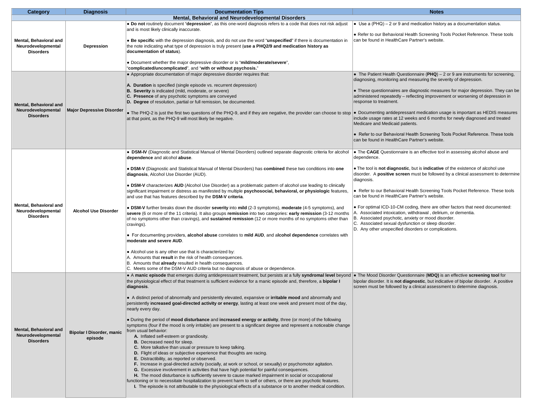| Mental, Behavioral and Neurodevelopmental Disorders<br>• Do not routinely document "depression", as this one-word diagnosis refers to a code that does not risk adjust<br>$\bullet$ Use a (PHQ) – 2 or 9 and medication history as a documentation status.<br>and is most likely clinically inaccurate.<br>• Refer to our Behavioral Health Screening Tools Pocket Reference. These tools<br>• Be specific with the depression diagnosis, and do not use the word "unspecified" if there is documentation in<br>can be found in HealthCare Partner's website.<br>Mental, Behavioral and<br>the note indicating what type of depression is truly present (use a PHQ2/9 and medication history as<br>Neurodevelopmental<br>Depression<br><b>Disorders</b><br>documentation of status).<br>• Document whether the major depressive disorder or is "mild/moderate/severe",<br>"complicated/uncomplicated", and "with or without psychosis."<br>• Appropriate documentation of major depressive disorder requires that:<br>• The Patient Health Questionnaire ( $PHQ$ ) – 2 or 9 are instruments for screening,<br>diagnosing, monitoring and measuring the severity of depression.<br>A. Duration is specified (single episode vs. recurrent depression)<br>B. Severity is indicated (mild, moderate, or severe)<br>• These questionnaires are diagnostic measures for major depression. They can be<br>C. Presence of any psychotic symptoms are conveyed<br>administered repeatedly - reflecting improvement or worsening of depression in<br>D. Degree of resolution, partial or full remission, be documented.<br>response to treatment.<br><b>Mental, Behavioral and</b><br>Neurodevelopmental<br><b>Major Depressive Disorder</b><br>• The PHQ-2 is just the first two questions of the PHQ-9, and if they are negative, the provider can choose to stop   • Documenting antidepressant medication usage is important as HEDIS measures<br><b>Disorders</b><br>include usage rates at 12 weeks and 6 months for newly diagnosed and treated<br>at that point, as the PHQ-9 will most likely be negative.<br>Medicare and Medicaid patients.<br>• Refer to our Behavioral Health Screening Tools Pocket Reference. These tools<br>can be found in HealthCare Partner's website.<br>. DSM-IV (Diagnostic and Statistical Manual of Mental Disorders) outlined separate diagnostic criteria for alcohol<br>• The CAGE Questionnaire is an effective tool in assessing alcohol abuse and<br>dependence and alcohol abuse.<br>dependence.<br>. The tool is not diagnostic, but is indicative of the existence of alcohol use<br>. DSM-V (Diagnostic and Statistical Manual of Mental Disorders) has combined these two conditions into one<br>disorder. A <b>positive screen</b> must be followed by a clinical assessment to determine<br>diagnosis, Alcohol Use Disorder (AUD).<br>diagnosis.<br>• DSM-V characterizes AUD (Alcohol Use Disorder) as a problematic pattern of alcohol use leading to clinically<br>• Refer to our Behavioral Health Screening Tools Pocket Reference. These tools<br>significant impairment or distress as manifested by multiple <b>psychosocial, behavioral, or physiologic</b> features.<br>can be found in HealthCare Partner's website.<br>and use that has features described by the DSM-V criteria.<br>Mental, Behavioral and<br>• For optimal ICD-10-CM coding, there are other factors that need documented:<br>• DSM-V further breaks down the disorder severity into mild (2-3 symptoms), moderate (4-5 symptoms), and<br><b>Alcohol Use Disorder</b> |  |
|-------------------------------------------------------------------------------------------------------------------------------------------------------------------------------------------------------------------------------------------------------------------------------------------------------------------------------------------------------------------------------------------------------------------------------------------------------------------------------------------------------------------------------------------------------------------------------------------------------------------------------------------------------------------------------------------------------------------------------------------------------------------------------------------------------------------------------------------------------------------------------------------------------------------------------------------------------------------------------------------------------------------------------------------------------------------------------------------------------------------------------------------------------------------------------------------------------------------------------------------------------------------------------------------------------------------------------------------------------------------------------------------------------------------------------------------------------------------------------------------------------------------------------------------------------------------------------------------------------------------------------------------------------------------------------------------------------------------------------------------------------------------------------------------------------------------------------------------------------------------------------------------------------------------------------------------------------------------------------------------------------------------------------------------------------------------------------------------------------------------------------------------------------------------------------------------------------------------------------------------------------------------------------------------------------------------------------------------------------------------------------------------------------------------------------------------------------------------------------------------------------------------------------------------------------------------------------------------------------------------------------------------------------------------------------------------------------------------------------------------------------------------------------------------------------------------------------------------------------------------------------------------------------------------------------------------------------------------------------------------------------------------------------------------------------------------------------------------------------------------------------------------------------------------------------------------------------------------------------------------------------------------------------------------------------------------------------------------------------------------------------------------------------------------------------------------------------------------------------------------------------------------------------------------------------------------------------------------------|--|
|                                                                                                                                                                                                                                                                                                                                                                                                                                                                                                                                                                                                                                                                                                                                                                                                                                                                                                                                                                                                                                                                                                                                                                                                                                                                                                                                                                                                                                                                                                                                                                                                                                                                                                                                                                                                                                                                                                                                                                                                                                                                                                                                                                                                                                                                                                                                                                                                                                                                                                                                                                                                                                                                                                                                                                                                                                                                                                                                                                                                                                                                                                                                                                                                                                                                                                                                                                                                                                                                                                                                                                                                 |  |
|                                                                                                                                                                                                                                                                                                                                                                                                                                                                                                                                                                                                                                                                                                                                                                                                                                                                                                                                                                                                                                                                                                                                                                                                                                                                                                                                                                                                                                                                                                                                                                                                                                                                                                                                                                                                                                                                                                                                                                                                                                                                                                                                                                                                                                                                                                                                                                                                                                                                                                                                                                                                                                                                                                                                                                                                                                                                                                                                                                                                                                                                                                                                                                                                                                                                                                                                                                                                                                                                                                                                                                                                 |  |
|                                                                                                                                                                                                                                                                                                                                                                                                                                                                                                                                                                                                                                                                                                                                                                                                                                                                                                                                                                                                                                                                                                                                                                                                                                                                                                                                                                                                                                                                                                                                                                                                                                                                                                                                                                                                                                                                                                                                                                                                                                                                                                                                                                                                                                                                                                                                                                                                                                                                                                                                                                                                                                                                                                                                                                                                                                                                                                                                                                                                                                                                                                                                                                                                                                                                                                                                                                                                                                                                                                                                                                                                 |  |
|                                                                                                                                                                                                                                                                                                                                                                                                                                                                                                                                                                                                                                                                                                                                                                                                                                                                                                                                                                                                                                                                                                                                                                                                                                                                                                                                                                                                                                                                                                                                                                                                                                                                                                                                                                                                                                                                                                                                                                                                                                                                                                                                                                                                                                                                                                                                                                                                                                                                                                                                                                                                                                                                                                                                                                                                                                                                                                                                                                                                                                                                                                                                                                                                                                                                                                                                                                                                                                                                                                                                                                                                 |  |
|                                                                                                                                                                                                                                                                                                                                                                                                                                                                                                                                                                                                                                                                                                                                                                                                                                                                                                                                                                                                                                                                                                                                                                                                                                                                                                                                                                                                                                                                                                                                                                                                                                                                                                                                                                                                                                                                                                                                                                                                                                                                                                                                                                                                                                                                                                                                                                                                                                                                                                                                                                                                                                                                                                                                                                                                                                                                                                                                                                                                                                                                                                                                                                                                                                                                                                                                                                                                                                                                                                                                                                                                 |  |
|                                                                                                                                                                                                                                                                                                                                                                                                                                                                                                                                                                                                                                                                                                                                                                                                                                                                                                                                                                                                                                                                                                                                                                                                                                                                                                                                                                                                                                                                                                                                                                                                                                                                                                                                                                                                                                                                                                                                                                                                                                                                                                                                                                                                                                                                                                                                                                                                                                                                                                                                                                                                                                                                                                                                                                                                                                                                                                                                                                                                                                                                                                                                                                                                                                                                                                                                                                                                                                                                                                                                                                                                 |  |
|                                                                                                                                                                                                                                                                                                                                                                                                                                                                                                                                                                                                                                                                                                                                                                                                                                                                                                                                                                                                                                                                                                                                                                                                                                                                                                                                                                                                                                                                                                                                                                                                                                                                                                                                                                                                                                                                                                                                                                                                                                                                                                                                                                                                                                                                                                                                                                                                                                                                                                                                                                                                                                                                                                                                                                                                                                                                                                                                                                                                                                                                                                                                                                                                                                                                                                                                                                                                                                                                                                                                                                                                 |  |
|                                                                                                                                                                                                                                                                                                                                                                                                                                                                                                                                                                                                                                                                                                                                                                                                                                                                                                                                                                                                                                                                                                                                                                                                                                                                                                                                                                                                                                                                                                                                                                                                                                                                                                                                                                                                                                                                                                                                                                                                                                                                                                                                                                                                                                                                                                                                                                                                                                                                                                                                                                                                                                                                                                                                                                                                                                                                                                                                                                                                                                                                                                                                                                                                                                                                                                                                                                                                                                                                                                                                                                                                 |  |
|                                                                                                                                                                                                                                                                                                                                                                                                                                                                                                                                                                                                                                                                                                                                                                                                                                                                                                                                                                                                                                                                                                                                                                                                                                                                                                                                                                                                                                                                                                                                                                                                                                                                                                                                                                                                                                                                                                                                                                                                                                                                                                                                                                                                                                                                                                                                                                                                                                                                                                                                                                                                                                                                                                                                                                                                                                                                                                                                                                                                                                                                                                                                                                                                                                                                                                                                                                                                                                                                                                                                                                                                 |  |
|                                                                                                                                                                                                                                                                                                                                                                                                                                                                                                                                                                                                                                                                                                                                                                                                                                                                                                                                                                                                                                                                                                                                                                                                                                                                                                                                                                                                                                                                                                                                                                                                                                                                                                                                                                                                                                                                                                                                                                                                                                                                                                                                                                                                                                                                                                                                                                                                                                                                                                                                                                                                                                                                                                                                                                                                                                                                                                                                                                                                                                                                                                                                                                                                                                                                                                                                                                                                                                                                                                                                                                                                 |  |
| Neurodevelopmental<br>A. Associated intoxication, withdrawal, delirium, or dementia.<br>severe (6 or more of the 11 criteria). It also groups remission into two categories: early remission (3-12 months<br><b>Disorders</b><br>B. Associated psychotic, anxiety or mood disorder.<br>of no symptoms other than cravings), and <b>sustained remission</b> (12 or more months of no symptoms other than<br>C. Associated sexual dysfunction or sleep disorder.<br>cravings).<br>D. Any other unspecified disorders or complications.                                                                                                                                                                                                                                                                                                                                                                                                                                                                                                                                                                                                                                                                                                                                                                                                                                                                                                                                                                                                                                                                                                                                                                                                                                                                                                                                                                                                                                                                                                                                                                                                                                                                                                                                                                                                                                                                                                                                                                                                                                                                                                                                                                                                                                                                                                                                                                                                                                                                                                                                                                                                                                                                                                                                                                                                                                                                                                                                                                                                                                                            |  |
| • For documenting providers, alcohol abuse correlates to mild AUD, and alcohol dependence correlates with<br>moderate and severe AUD.                                                                                                                                                                                                                                                                                                                                                                                                                                                                                                                                                                                                                                                                                                                                                                                                                                                                                                                                                                                                                                                                                                                                                                                                                                                                                                                                                                                                                                                                                                                                                                                                                                                                                                                                                                                                                                                                                                                                                                                                                                                                                                                                                                                                                                                                                                                                                                                                                                                                                                                                                                                                                                                                                                                                                                                                                                                                                                                                                                                                                                                                                                                                                                                                                                                                                                                                                                                                                                                           |  |
| • Alcohol use is any other use that is characterized by:<br>A. Amounts that result in the risk of health consequences.<br>B. Amounts that already resulted in health consequences.<br>C. Meets some of the DSM-V AUD criteria but no diagnosis of abuse or dependence.                                                                                                                                                                                                                                                                                                                                                                                                                                                                                                                                                                                                                                                                                                                                                                                                                                                                                                                                                                                                                                                                                                                                                                                                                                                                                                                                                                                                                                                                                                                                                                                                                                                                                                                                                                                                                                                                                                                                                                                                                                                                                                                                                                                                                                                                                                                                                                                                                                                                                                                                                                                                                                                                                                                                                                                                                                                                                                                                                                                                                                                                                                                                                                                                                                                                                                                          |  |
| . A manic episode that emerges during antidepressant treatment, but persists at a fully syndromal level beyond   The Mood Disorder Questionnaire (MDQ) is an effective screening tool for<br>the physiological effect of that treatment is sufficient evidence for a manic episode and, therefore, a bipolar I<br>bipolar disorder. It is <b>not diagnostic</b> , but indicative of bipolar disorder. A positive                                                                                                                                                                                                                                                                                                                                                                                                                                                                                                                                                                                                                                                                                                                                                                                                                                                                                                                                                                                                                                                                                                                                                                                                                                                                                                                                                                                                                                                                                                                                                                                                                                                                                                                                                                                                                                                                                                                                                                                                                                                                                                                                                                                                                                                                                                                                                                                                                                                                                                                                                                                                                                                                                                                                                                                                                                                                                                                                                                                                                                                                                                                                                                                |  |
| screen must be followed by a clinical assessment to determine diagnosis.<br>diagnosis.<br>• A distinct period of abnormally and persistently elevated, expansive or <b>irritable mood</b> and abnormally and<br>persistently increased goal-directed activity or energy, lasting at least one week and present most of the day,<br>nearly every day.                                                                                                                                                                                                                                                                                                                                                                                                                                                                                                                                                                                                                                                                                                                                                                                                                                                                                                                                                                                                                                                                                                                                                                                                                                                                                                                                                                                                                                                                                                                                                                                                                                                                                                                                                                                                                                                                                                                                                                                                                                                                                                                                                                                                                                                                                                                                                                                                                                                                                                                                                                                                                                                                                                                                                                                                                                                                                                                                                                                                                                                                                                                                                                                                                                            |  |
| . During the period of mood disturbance and increased energy or activity, three (or more) of the following<br>symptoms (four if the mood is only irritable) are present to a significant degree and represent a noticeable change<br><b>Mental, Behavioral and</b><br>from usual behavior:<br><b>Bipolar I Disorder, manic</b><br>Neurodevelopmental<br>A. Inflated self-esteem or grandiosity.<br>episode<br><b>Disorders</b><br>B. Decreased need for sleep.<br>C. More talkative than usual or pressure to keep talking.<br>D. Flight of ideas or subjective experience that thoughts are racing.<br>E. Distractibility, as reported or observed.<br>F. Increase in goal-directed activity (socially, at work or school, or sexually) or psychomotor agitation.<br>G. Excessive involvement in activities that have high potential for painful consequences.<br>H. The mood disturbance is sufficiently severe to cause marked impairment in social or occupational<br>functioning or to necessitate hospitalization to prevent harm to self or others, or there are psychotic features.<br>I. The episode is not attributable to the physiological effects of a substance or to another medical condition.                                                                                                                                                                                                                                                                                                                                                                                                                                                                                                                                                                                                                                                                                                                                                                                                                                                                                                                                                                                                                                                                                                                                                                                                                                                                                                                                                                                                                                                                                                                                                                                                                                                                                                                                                                                                                                                                                                                                                                                                                                                                                                                                                                                                                                                                                                                                                                                  |  |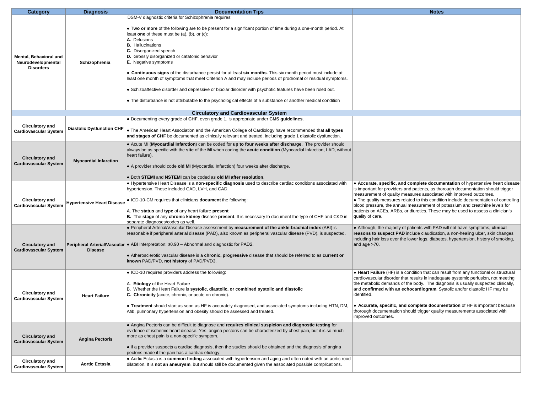| Category                                                                | <b>Diagnosis</b>                  | <b>Documentation Tips</b>                                                                                                                                                                                                                                                                                                                                                                                                                                                                                                                                                                                                                                                                                                                                                                                                                       | <b>Notes</b>                                                                                                                                                                                                                                                                                                                                                                                                                                                                                                                                    |
|-------------------------------------------------------------------------|-----------------------------------|-------------------------------------------------------------------------------------------------------------------------------------------------------------------------------------------------------------------------------------------------------------------------------------------------------------------------------------------------------------------------------------------------------------------------------------------------------------------------------------------------------------------------------------------------------------------------------------------------------------------------------------------------------------------------------------------------------------------------------------------------------------------------------------------------------------------------------------------------|-------------------------------------------------------------------------------------------------------------------------------------------------------------------------------------------------------------------------------------------------------------------------------------------------------------------------------------------------------------------------------------------------------------------------------------------------------------------------------------------------------------------------------------------------|
| <b>Mental, Behavioral and</b><br>Neurodevelopmental<br><b>Disorders</b> | Schizophrenia                     | DSM-V diagnostic criteria for Schizophrenia requires:<br>• Two or more of the following are to be present for a significant portion of time during a one-month period. At<br>least one of these must be (a), (b), or (c):<br>A. Delusions<br><b>B.</b> Hallucinations<br>C. Disorganized speech<br>D. Grossly disorganized or catatonic behavior<br><b>E.</b> Negative symptoms<br>• Continuous signs of the disturbance persist for at least six months. This six month period must include at<br>least one month of symptoms that meet Criterion A and may include periods of prodromal or residual symptoms.<br>• Schizoaffective disorder and depressive or bipolar disorder with psychotic features have been ruled out.<br>• The disturbance is not attributable to the psychological effects of a substance or another medical condition |                                                                                                                                                                                                                                                                                                                                                                                                                                                                                                                                                 |
|                                                                         |                                   | <b>Circulatory and Cardiovascular System</b>                                                                                                                                                                                                                                                                                                                                                                                                                                                                                                                                                                                                                                                                                                                                                                                                    |                                                                                                                                                                                                                                                                                                                                                                                                                                                                                                                                                 |
| <b>Circulatory and</b><br><b>Cardiovascular System</b>                  | <b>Diastolic Dysfunction CHF</b>  | • Documenting every grade of CHF, even grade 1, is appropriate under CMS guidelines.<br>• The American Heart Association and the American College of Cardiology have recommended that all types<br>and stages of CHF be documented as clinically relevant and treated, including grade 1 diastolic dysfunction.                                                                                                                                                                                                                                                                                                                                                                                                                                                                                                                                 |                                                                                                                                                                                                                                                                                                                                                                                                                                                                                                                                                 |
| <b>Circulatory and</b><br><b>Cardiovascular System</b>                  | <b>Myocardial Infarction</b>      | Acute MI (Myocardial Infarction) can be coded for up to four weeks after discharge. The provider should<br>always be as specific with the site of the MI when coding the acute condition (Myocardial Infarction, LAD, without<br>heart failure).<br>• A provider should code old MI (Myocardial Infarction) four weeks after discharge.<br>. Both STEMI and NSTEMI can be coded as old MI after resolution.                                                                                                                                                                                                                                                                                                                                                                                                                                     |                                                                                                                                                                                                                                                                                                                                                                                                                                                                                                                                                 |
| Circulatory and<br><b>Cardiovascular System</b>                         | <b>Hypertensive Heart Disease</b> | ● Hypertensive Heart Disease is a non-specific diagnosis used to describe cardiac conditions associated with<br>hypertension. These included CAD, LVH, and CAD.<br>• ICD-10-CM requires that clinicians document the following:<br>A. The status and type of any heart failure present<br>B. The stage of any chronic kidney disease present. It is necessary to document the type of CHF and CKD in<br>separate diagnoses/codes as well.                                                                                                                                                                                                                                                                                                                                                                                                       | • Accurate, specific, and complete documentation of hypertensive heart disease<br>is important for providers and patients, as thorough documentation should trigger<br>measurement of quality measures associated with improved outcomes.<br>• The quality measures related to this condition include documentation of controlling<br>blood pressure, the annual measurement of potassium and creatinine levels for<br>patients on ACEs, ARBs, or diuretics. These may be used to assess a clinician's<br>quality of care.                      |
| <b>Circulatory and</b><br><b>Cardiovascular System</b>                  | <b>Disease</b>                    | . Peripheral Arterial/Vascular Disease assessment by measurement of the ankle-brachial index (ABI) is<br>reasonable if peripheral arterial disease (PAD), also known as peripheral vascular disease (PVD), is suspected.<br><b>Peripheral Arterial/Vascular</b> $\bullet$ ABI Interpretation: $\leq 0.90$ – Abnormal and diagnostic for PAD2.<br>• Atherosclerotic vascular disease is a chronic, progressive disease that should be referred to as current or<br>known PAD/PVD, not history of PAD/PVD3.                                                                                                                                                                                                                                                                                                                                       | • Although, the majority of patients with PAD will not have symptoms, clinical<br>reasons to suspect PAD include claudication, a non-healing ulcer, skin changes<br>including hair loss over the lower legs, diabetes, hypertension, history of smoking,<br>and age $>70$ .                                                                                                                                                                                                                                                                     |
| <b>Circulatory and</b><br><b>Cardiovascular System</b>                  | <b>Heart Failure</b>              | • ICD-10 requires providers address the following:<br>A. Etiology of the Heart Failure<br>B. Whether the Heart Failure is systolic, diastolic, or combined systolic and diastolic<br>C. Chronicity (acute, chronic, or acute on chronic).<br>. Treatment should start as soon as HF is accurately diagnosed, and associated symptoms including HTN, DM,<br>Afib, pulmonary hypertension and obesity should be assessed and treated.                                                                                                                                                                                                                                                                                                                                                                                                             | • Heart Failure (HF) is a condition that can result from any functional or structural<br>cardiovascular disorder that results in inadequate systemic perfusion, not meeting<br>the metabolic demands of the body. The diagnosis is usually suspected clinically,<br>and confirmed with an echocardiogram. Systolic and/or diastolic HF may be<br>identified.<br>• Accurate, specific, and complete documentation of HF is important because<br>thorough documentation should trigger quality measurements associated with<br>improved outcomes. |
| <b>Circulatory and</b><br><b>Cardiovascular System</b>                  | <b>Angina Pectoris</b>            | • Angina Pectoris can be difficult to diagnose and requires clinical suspicion and diagnostic testing for<br>evidence of ischemic heart disease. Yes, angina pectoris can be characterized by chest pain, but it is so much<br>more as chest pain is a non-specific symptom.<br>• If a provider suspects a cardiac diagnosis, then the studies should be obtained and the diagnosis of angina<br>pectoris made if the pain has a cardiac etiology.                                                                                                                                                                                                                                                                                                                                                                                              |                                                                                                                                                                                                                                                                                                                                                                                                                                                                                                                                                 |
| <b>Circulatory and</b><br><b>Cardiovascular System</b>                  | <b>Aortic Ectasia</b>             | Aortic Ectasia is a common finding associated with hypertension and aging and often noted with an aortic rood<br>dilatation. It is not an aneurysm, but should still be documented given the associated possible complications.                                                                                                                                                                                                                                                                                                                                                                                                                                                                                                                                                                                                                 |                                                                                                                                                                                                                                                                                                                                                                                                                                                                                                                                                 |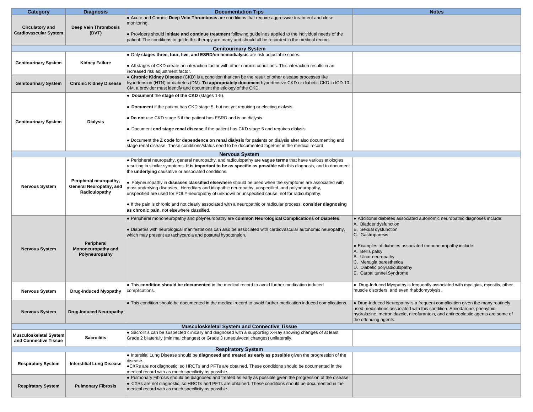| <b>Category</b>                                     | <b>Diagnosis</b>                 | <b>Documentation Tips</b>                                                                                                                                                                                                  | <b>Notes</b>                                                                                                                                             |
|-----------------------------------------------------|----------------------------------|----------------------------------------------------------------------------------------------------------------------------------------------------------------------------------------------------------------------------|----------------------------------------------------------------------------------------------------------------------------------------------------------|
|                                                     |                                  | . Acute and Chronic Deep Vein Thrombosis are conditions that require aggressive treatment and close                                                                                                                        |                                                                                                                                                          |
| <b>Circulatory and</b>                              | <b>Deep Vein Thrombosis</b>      | monitoring.                                                                                                                                                                                                                |                                                                                                                                                          |
| <b>Cardiovascular System</b>                        | (DVT)                            |                                                                                                                                                                                                                            |                                                                                                                                                          |
|                                                     |                                  | • Providers should initiate and continue treatment following guidelines applied to the individual needs of the<br>patient. The conditions to guide this therapy are many and should all be recorded in the medical record. |                                                                                                                                                          |
|                                                     |                                  |                                                                                                                                                                                                                            |                                                                                                                                                          |
|                                                     |                                  | <b>Genitourinary System</b><br>• Only stages three, four, five, and ESRD/on hemodialysis are risk adjustable codes.                                                                                                        |                                                                                                                                                          |
|                                                     |                                  |                                                                                                                                                                                                                            |                                                                                                                                                          |
| <b>Genitourinary System</b>                         | <b>Kidney Failure</b>            | • All stages of CKD create an interaction factor with other chronic conditions. This interaction results in an<br>increased risk adjustment factor.                                                                        |                                                                                                                                                          |
|                                                     |                                  | • Chronic Kidney Disease (CKD) is a condition that can be the result of other disease processes like                                                                                                                       |                                                                                                                                                          |
| <b>Genitourinary System</b>                         | <b>Chronic Kidney Disease</b>    | hypertension (HTN) or diabetes (DM). To appropriately document hypertensive CKD or diabetic CKD in ICD-10-<br>CM, a provider must identify and document the etiology of the CKD.                                           |                                                                                                                                                          |
|                                                     |                                  | • Document the stage of the CKD (stages 1-5).                                                                                                                                                                              |                                                                                                                                                          |
|                                                     |                                  | • Document if the patient has CKD stage 5, but not yet requiring or electing dialysis.                                                                                                                                     |                                                                                                                                                          |
| <b>Genitourinary System</b>                         | <b>Dialysis</b>                  | • Do not use CKD stage 5 if the patient has ESRD and is on dialysis.                                                                                                                                                       |                                                                                                                                                          |
|                                                     |                                  | • Document end stage renal disease if the patient has CKD stage 5 and requires dialysis.                                                                                                                                   |                                                                                                                                                          |
|                                                     |                                  | • Document the Z code for dependence on renal dialysis for patients on dialysis after also documenting end<br>stage renal disease. These conditions/status need to be documented together in the medical record.           |                                                                                                                                                          |
|                                                     |                                  | <b>Nervous System</b>                                                                                                                                                                                                      |                                                                                                                                                          |
|                                                     |                                  | • Peripheral neuropathy, general neuropathy, and radiculopathy are vague terms that have various etiologies                                                                                                                |                                                                                                                                                          |
|                                                     |                                  | resulting in similar symptoms. It is important to be as specific as possible with this diagnosis, and to document<br>the underlying causative or associated conditions.                                                    |                                                                                                                                                          |
|                                                     | Peripheral neuropathy,           | • Polyneuropathy in diseases classified elsewhere should be used when the symptoms are associated with                                                                                                                     |                                                                                                                                                          |
| <b>Nervous System</b>                               | General Neuropathy, and          | most underlying diseases. Hereditary and idiopathic neuropathy, unspecified, and polyneuropathy,                                                                                                                           |                                                                                                                                                          |
|                                                     | Radiculopathy                    | unspecified are used for POLY-neuropathy of unknown or unspecified cause, not for radiculopathy.                                                                                                                           |                                                                                                                                                          |
|                                                     |                                  | If the pain is chronic and not clearly associated with a neuropathic or radicular process, consider diagnosing<br>as chronic pain, not elsewhere classified.                                                               |                                                                                                                                                          |
|                                                     |                                  | • Peripheral mononeuropathy and polyneuropathy are common Neurological Complications of Diabetes.                                                                                                                          | • Additional diabetes associated autonomic neuropathic diagnoses include:                                                                                |
|                                                     |                                  | • Diabetes with neurological manifestations can also be associated with cardiovascular autonomic neuropathy,                                                                                                               | A. Bladder dysfunction<br>B. Sexual dysfunction                                                                                                          |
|                                                     |                                  | which may present as tachycardia and postural hypotension.                                                                                                                                                                 | C. Gastroparesis                                                                                                                                         |
|                                                     | Peripheral                       |                                                                                                                                                                                                                            |                                                                                                                                                          |
| <b>Nervous System</b>                               | Mononeuropathy and               |                                                                                                                                                                                                                            | • Examples of diabetes associated mononeuropathy include:                                                                                                |
|                                                     | Polyneuropathy                   |                                                                                                                                                                                                                            | A. Bell's palsy<br>B. Ulnar neuropathy                                                                                                                   |
|                                                     |                                  |                                                                                                                                                                                                                            | C. Meralgia paresthetica                                                                                                                                 |
|                                                     |                                  |                                                                                                                                                                                                                            | D. Diabetic polyradiculopathy                                                                                                                            |
|                                                     |                                  |                                                                                                                                                                                                                            | E. Carpal tunnel Syndrome                                                                                                                                |
|                                                     |                                  | • This condition should be documented in the medical record to avoid further medication induced                                                                                                                            | • Drug-Induced Myopathy is frequently associated with myalgias, myositis, other                                                                          |
| <b>Nervous System</b>                               | <b>Drug-Induced Myopathy</b>     | complications.                                                                                                                                                                                                             | muscle disorders, and even rhabdomyolysis.                                                                                                               |
|                                                     |                                  |                                                                                                                                                                                                                            |                                                                                                                                                          |
|                                                     |                                  | • This condition should be documented in the medical record to avoid further medication induced complications.                                                                                                             | • Drug-Induced Neuropathy is a frequent complication given the many routinely<br>used medications associated with this condition. Amiodarone, phenytoin, |
| <b>Nervous System</b>                               | <b>Drug-Induced Neuropathy</b>   |                                                                                                                                                                                                                            | hydralazine, metronidazole, nitrofurantoin, and antineoplastic agents are some of                                                                        |
|                                                     |                                  |                                                                                                                                                                                                                            | the offending agents.                                                                                                                                    |
| <b>Musculoskeletal System and Connective Tissue</b> |                                  |                                                                                                                                                                                                                            |                                                                                                                                                          |
| <b>Musculoskeletal System</b>                       | <b>Sacroilitis</b>               | • Sacroilitis can be suspected clinically and diagnosed with a supporting X-Ray showing changes of at least<br>Grade 2 bilaterally (minimal changes) or Grade 3 (unequivocal changes) unilaterally.                        |                                                                                                                                                          |
| and Connective Tissue                               |                                  |                                                                                                                                                                                                                            |                                                                                                                                                          |
|                                                     |                                  | <b>Respiratory System</b>                                                                                                                                                                                                  |                                                                                                                                                          |
|                                                     |                                  | . Intersitial Lung Disease should be diagnosed and treated as early as possible given the progression of the<br>disease.                                                                                                   |                                                                                                                                                          |
| <b>Respiratory System</b>                           | <b>Interstitial Lung Disease</b> | •CXRs are not diagnostic, so HRCTs and PFTs are obtained. These conditions should be documented in the<br>medical record with as much specificity as possible.                                                             |                                                                                                                                                          |
|                                                     |                                  | . Pulmonary Fibrosis should be diagnosed and treated as early as possible given the progression of the disease.                                                                                                            |                                                                                                                                                          |
| <b>Respiratory System</b>                           | <b>Pulmonary Fibrosis</b>        | • CXRs are not diagnostic, so HRCTs and PFTs are obtained. These conditions should be documented in the                                                                                                                    |                                                                                                                                                          |
|                                                     |                                  | medical record with as much specificity as possible.                                                                                                                                                                       |                                                                                                                                                          |